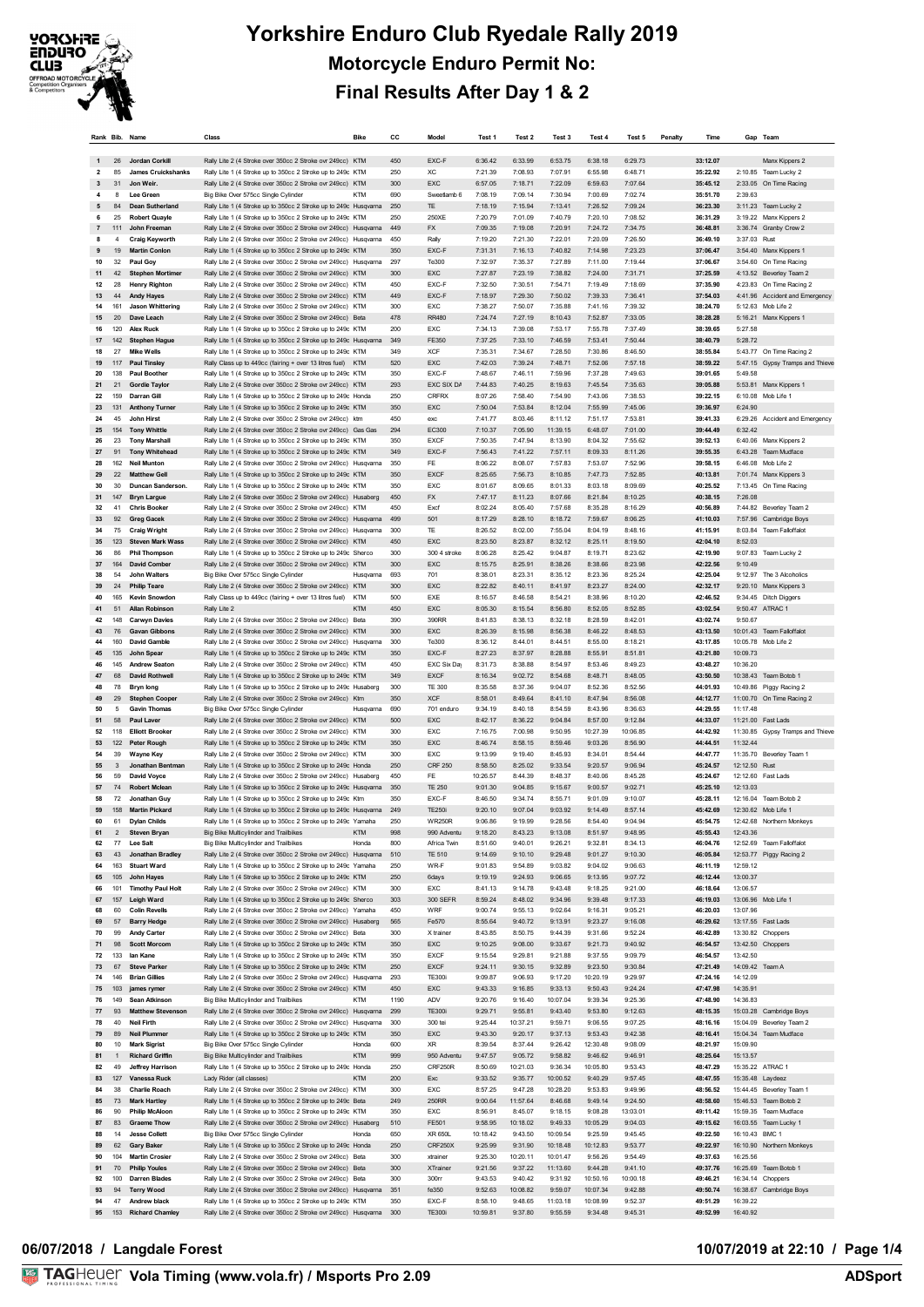

| Rank Bib. Name |                      |                                                | Class                                                                                                                         | <b>Bike</b>              | cc         | Model                        | Test 1              | Test <sub>2</sub>   | Test <sub>3</sub>   | Test 4              | Test 5              | Penalty | Time                 |                             | Gap Team                                                    |
|----------------|----------------------|------------------------------------------------|-------------------------------------------------------------------------------------------------------------------------------|--------------------------|------------|------------------------------|---------------------|---------------------|---------------------|---------------------|---------------------|---------|----------------------|-----------------------------|-------------------------------------------------------------|
|                | 26                   | Jordan Corkill                                 | Rally Lite 2 (4 Stroke over 350cc 2 Stroke ovr 249cc) KTM                                                                     |                          | 450        | EXC-F                        | 6:36.42             | 6:33.99             | 6:53.75             | 6:38.18             | 6:29.73             |         | 33:12.07             |                             | Manx Kippers 2                                              |
| $\overline{2}$ | 85                   | <b>James Cruickshanks</b>                      | Rally Lite 1 (4 Stroke up to 350cc 2 Stroke up to 249c KTM                                                                    |                          | 250        | ХC                           | 7:21.39             | 7:08.93             | 7:07.91             | 6:55.98             | 6:48.71             |         | 35:22.92             |                             | 2:10.85 Team Lucky 2                                        |
| 3<br>4         | 31<br>8              | Jon Weir.<br>Lee Green                         | Rally Lite 2 (4 Stroke over 350cc 2 Stroke ovr 249cc) KTM<br>Big Bike Over 575cc Single Cylinder                              | KTM                      | 300<br>690 | EXC<br>Sweetlamb 6           | 6:57.05<br>7:08.19  | 7:18.71<br>7:09.14  | 7:22.09<br>7:30.94  | 6:59.63<br>7:00.69  | 7:07.64<br>7:02.74  |         | 35:45.12<br>35:51.70 | 2:39.63                     | 2:33.05 On Time Racing                                      |
| 5              | 84                   | <b>Dean Sutherland</b>                         | Rally Lite 1 (4 Stroke up to 350cc 2 Stroke up to 249c Husqvama                                                               |                          | 250        | TE                           | 7:18.19             | 7:15.94             | 7:13.41             | 7:26.52             | 7:09.24             |         | 36:23.30             |                             | 3:11.23 Team Lucky 2                                        |
| 6              | 25                   | <b>Robert Quavie</b>                           | Rally Lite 1 (4 Stroke up to 350cc 2 Stroke up to 249c KTM                                                                    |                          | 250        | 250XE                        | 7:20.79             | 7:01.09             | 7:40.79             | 7:20.10             | 7:08.52             |         | 36:31.29             | 3:19.22                     | Manx Kippers 2                                              |
|                | 111                  | John Freeman                                   | Rally Lite 2 (4 Stroke over 350cc 2 Stroke ovr 249cc) Husqvama                                                                |                          | 449        | <b>FX</b>                    | 7:09.35             | 7:19.08             | 7:20.91             | 7:24.72             | 7:34.75             |         | 36:48.81             |                             | 3:36.74 Granby Crew 2                                       |
| 8<br>9         | $\overline{4}$<br>19 | <b>Craig Keyworth</b><br><b>Martin Conlon</b>  | Rally Lite 2 (4 Stroke over 350cc 2 Stroke ovr 249cc) Husqvama<br>Rally Lite 1 (4 Stroke up to 350cc 2 Stroke up to 249c KTM  |                          | 450<br>350 | Rally<br>EXC-F               | 7:19.20<br>7:31.31  | 7:21.30<br>7:16.13  | 7:22.01<br>7:40.82  | 7:20.09<br>7:14.98  | 7:26.50<br>7:23.23  |         | 36:49.10<br>37:06.47 | 3:37.03                     | Rust<br>3:54.40 Manx Kippers 1                              |
| 10             | 32                   | Paul Gov                                       | Rally Lite 2 (4 Stroke over 350cc 2 Stroke ovr 249cc) Husqvama                                                                |                          | 297        | Te300                        | 7:32.97             | 7:35.37             | 7:27.89             | 7:11.00             | 7:19.44             |         | 37:06.67             |                             | 3:54.60 On Time Racing                                      |
| 11             | 42                   | <b>Stephen Mortimer</b>                        | Rally Lite 2 (4 Stroke over 350cc 2 Stroke ovr 249cc) KTM                                                                     |                          | 300        | EXC                          | 7:27.87             | 7:23.19             | 7:38.82             | 7:24.00             | 7:31.71             |         | 37:25.59             |                             | 4:13.52 Beverley Team 2                                     |
| 12             | 28                   | <b>Henry Righton</b>                           | Rally Lite 2 (4 Stroke over 350cc 2 Stroke ovr 249cc) KTM                                                                     |                          | 450        | EXC-F                        | 7:32.50             | 7:30.51             | 7:54.71             | 7:19.49             | 7:18.69             |         | 37:35.90             |                             | 4:23.83 On Time Racing 2                                    |
| 13<br>14       | 44<br>161            | <b>Andy Hayes</b><br>Jason Whittering          | Rally Lite 2 (4 Stroke over 350cc 2 Stroke ovr 249cc) KTM<br>Rally Lite 2 (4 Stroke over 350cc 2 Stroke ovr 249cc) KTM        |                          | 449<br>300 | EXC-F<br>EXC                 | 7:18.97<br>7:38.27  | 7:29.30<br>7:50.07  | 7:50.02<br>7:35.88  | 7:39.33<br>7:41.16  | 7:36.41<br>7:39.32  |         | 37:54.03<br>38:24.70 | 5:12.63                     | 4:41.96 Accident and Emergency<br>Mob Life 2                |
| 15             | 20                   | Dave Leach                                     | Rally Lite 2 (4 Stroke over 350cc 2 Stroke ovr 249cc) Beta                                                                    |                          | 478        | <b>RR480</b>                 | 7:24.74             | 7:27.19             | 8:10.43             | 7:52.87             | 7:33.05             |         | 38:28.28             |                             | 5:16.21 Manx Kippers 1                                      |
| 16             | 120                  | <b>Alex Ruck</b>                               | Rally Lite 1 (4 Stroke up to 350cc 2 Stroke up to 249c KTM                                                                    |                          | 200        | EXC                          | 7:34.13             | 7:39.08             | 7:53.17             | 7:55.78             | 7:37.49             |         | 38:39.65             | 5:27.58                     |                                                             |
| 17             | 142                  | <b>Stephen Hague</b>                           | Rally Lite 1 (4 Stroke up to 350cc 2 Stroke up to 249c Husqvama                                                               |                          | 349        | FE350                        | 7:37.25             | 7:33.10             | 7:46.59             | 7:53.41             | 7:50.44             |         | 38:40.79             | 5:28.72                     |                                                             |
| 18<br>19       | 27<br>117            | <b>Mike Wells</b><br>Paul Tinsley              | Rally Lite 1 (4 Stroke up to 350cc 2 Stroke up to 249c KTM<br>Rally Class up to 449cc (fairing + over 13 litres fuel) KTM     |                          | 349<br>520 | XCF<br>EXC                   | 7:35.31<br>7:42.03  | 7:34.67<br>7:39.24  | 7:28.50<br>7:48.71  | 7:30.86<br>7:52.06  | 8:46.50<br>7:57.18  |         | 38:55.84<br>38:59.22 |                             | 5:43.77 On Time Racing 2<br>5:47.15 Gypsy Tramps and Thieve |
| 20             | 138                  | <b>Paul Boother</b>                            | Rally Lite 1 (4 Stroke up to 350cc 2 Stroke up to 249c KTM                                                                    |                          | 350        | EXC-F                        | 7:48.67             | 7:46.11             | 7:59.96             | 7:37.28             | 7:49.63             |         | 39:01.65             | 5:49.58                     |                                                             |
| 21             | 21                   | <b>Gordie Taylor</b>                           | Rally Lite 2 (4 Stroke over 350cc 2 Stroke ovr 249cc) KTM                                                                     |                          | 293        | EXC SIX DA                   | 7:44.83             | 7:40.25             | 8:19.63             | 7:45.54             | 7:35.63             |         | 39:05.88             |                             | 5:53.81 Manx Kippers 1                                      |
| 22             | 159                  | Darran Gill                                    | Rally Lite 1 (4 Stroke up to 350cc 2 Stroke up to 249c Honda                                                                  |                          | 250        | <b>CRFRX</b>                 | 8:07.26             | 7:58.40             | 7:54.90             | 7:43.06             | 7:38.53             |         | 39:22.15             | 6:10.08                     | Mob Life 1                                                  |
| 23             | 131<br>45            | <b>Anthony Turner</b><br>John Hirst            | Rally Lite 1 (4 Stroke up to 350cc 2 Stroke up to 249c KTM                                                                    |                          | 350<br>450 | EXC                          | 7:50.04<br>7:41.77  | 7:53.84<br>8:03.46  | 8:12.04<br>8:11.12  | 7:55.99<br>7:51.17  | 7:45.06<br>7:53.81  |         | 39:36.97<br>39:41.33 | 6:24.90                     |                                                             |
| 24<br>25       | 154                  | <b>Tony Whittle</b>                            | Rally Lite 2 (4 Stroke over 350cc 2 Stroke ovr 249cc) ktm<br>Rally Lite 2 (4 Stroke over 350cc 2 Stroke ovr 249cc) Gas Gas    |                          | 294        | exc<br>EC300                 | 7:10.37             | 7:05.90             | 11:39.15            | 6:48.07             | 7:01.00             |         | 39:44.49             | 6:32.42                     | 6:29.26 Accident and Emergency                              |
| 26             | 23                   | <b>Tony Marshall</b>                           | Rally Lite 1 (4 Stroke up to 350cc 2 Stroke up to 249c KTM                                                                    |                          | 350        | <b>EXCF</b>                  | 7:50.35             | 7:47.94             | 8:13.90             | 8:04.32             | 7:55.62             |         | 39:52.13             | 6:40.06                     | Manx Kippers 2                                              |
| 27             | 91                   | <b>Tony Whitehead</b>                          | Rally Lite 1 (4 Stroke up to 350cc 2 Stroke up to 249c KTM                                                                    |                          | 349        | EXC-F                        | 7:56.43             | 7:41.22             | 7:57.11             | 8:09.33             | 8:11.26             |         | 39:55.35             |                             | 6:43.28 Team Mudface                                        |
| 28             | 162                  | <b>Neil Munton</b><br><b>Matthew Gell</b>      | Rally Lite 2 (4 Stroke over 350cc 2 Stroke ovr 249cc) Husqvama                                                                |                          | 350        | FE                           | 8:06.22             | 8:08.07             | 7:57.83             | 7:53.07             | 7:52.96             |         | 39:58.15             | 6:46.08                     | Mob Life 2                                                  |
| 29<br>30       | 22<br>30             | Duncan Sanderson.                              | Rally Lite 1 (4 Stroke up to 350cc 2 Stroke up to 249c KTM<br>Rally Lite 1 (4 Stroke up to 350cc 2 Stroke up to 249c KTM      |                          | 350<br>350 | <b>EXCF</b><br>EXC           | 8:25.65<br>8:01.67  | 7:56.73<br>8:09.65  | 8:10.85<br>8:01.33  | 7:47.73<br>8:03.18  | 7:52.85<br>8:09.69  |         | 40:13.81<br>40:25.52 |                             | 7:01.74 Manx Kippers 3<br>7:13.45 On Time Racing            |
| 31             | 147                  | <b>Bryn Largue</b>                             | Rally Lite 2 (4 Stroke over 350cc 2 Stroke ovr 249cc) Husaberg                                                                |                          | 450        | FX                           | 7:47.17             | 8:11.23             | 8:07.66             | 8:21.84             | 8:10.25             |         | 40:38.15             | 7:26.08                     |                                                             |
| 32             | 41                   | <b>Chris Booker</b>                            | Rally Lite 2 (4 Stroke over 350cc 2 Stroke ovr 249cc) KTM                                                                     |                          | 450        | Excf                         | 8:02.24             | 8:05.40             | 7:57.68             | 8:35.28             | 8:16.29             |         | 40:56.89             |                             | 7:44.82 Beverley Team 2                                     |
| 33             | 92                   | <b>Greg Gacek</b>                              | Rally Lite 2 (4 Stroke over 350cc 2 Stroke ovr 249cc) Husqvama                                                                |                          | 499        | 501                          | 8:17.29             | 8:28.10             | 8:18.72             | 7:59.67             | 8:06.25             |         | 41:10.03             |                             | 7:57.96 Cambridge Boys                                      |
| 34<br>35       | 75<br>123            | <b>Craig Wright</b><br><b>Steven Mark Wass</b> | Rally Lite 2 (4 Stroke over 350cc 2 Stroke ovr 249cc) Husqvama<br>Rally Lite 2 (4 Stroke over 350cc 2 Stroke ovr 249cc) KTM   |                          | 300<br>450 | TE<br>EXC                    | 8:26.52<br>8:23.50  | 8:02.00<br>8:23.87  | 7:55.04<br>8:32.12  | 8:04.19<br>8:25.11  | 8:48.16<br>8:19.50  |         | 41:15.91<br>42:04.10 | 8:03.84<br>8:52.03          | <b>Team Falloffalot</b>                                     |
| 36             | 86                   | <b>Phil Thompson</b>                           | Rally Lite 1 (4 Stroke up to 350cc 2 Stroke up to 249c Sherco                                                                 |                          | 300        | 300 4 stroke                 | 8:06.28             | 8:25.42             | 9:04.87             | 8:19.71             | 8:23.62             |         | 42:19.90             | 9:07.83                     | Team Lucky 2                                                |
| 37             | 164                  | <b>David Comber</b>                            | Rally Lite 2 (4 Stroke over 350cc 2 Stroke ovr 249cc) KTM                                                                     |                          | 300        | EXC                          | 8:15.75             | 8:25.91             | 8:38.26             | 8:38.66             | 8:23.98             |         | 42:22.56             | 9:10.49                     |                                                             |
| 38             | 54                   | <b>John Walters</b>                            | Big Bike Over 575cc Single Cylinder                                                                                           | Husqvama                 | 693        | 701                          | 8:38.01             | 8:23.31             | 8:35.12             | 8:23.36             | 8:25.24             |         | 42:25.04             |                             | 9:12.97 The 3 Alcoholics                                    |
| 39             | 24                   | <b>Philip Teare</b>                            | Rally Lite 2 (4 Stroke over 350cc 2 Stroke ovr 249cc) KTM                                                                     |                          | 300        | EXC                          | 8:22.82             | 8:40.11             | 8:41.97             | 8:23.27             | 8:24.00             |         | 42:32.17             |                             | 9:20.10 Manx Kippers 3                                      |
| 40<br>41       | 165<br>51            | <b>Kevin Snowdon</b><br><b>Allan Robinson</b>  | Rally Class up to 449cc (fairing + over 13 litres fuel)<br>Rally Lite 2                                                       | <b>KTM</b><br><b>KTM</b> | 500<br>450 | EXE<br>EXC                   | 8:16.57<br>8:05.30  | 8:46.58<br>8:15.54  | 8:54.21<br>8:56.80  | 8:38.96<br>8:52.05  | 8:10.20<br>8:52.85  |         | 42:46.52<br>43:02.54 | 9:50.47                     | 9:34.45 Ditch Diggers<br>ATRAC 1                            |
| 42             | 148                  | <b>Carwyn Davies</b>                           | Rally Lite 2 (4 Stroke over 350cc 2 Stroke ovr 249cc) Beta                                                                    |                          | 390        | 390RR                        | 8:41.83             | 8:38.13             | 8:32.18             | 8:28.59             | 8:42.01             |         | 43:02.74             | 9:50.67                     |                                                             |
| 43             | 76                   | <b>Gavan Gibbons</b>                           | Rally Lite 2 (4 Stroke over 350cc 2 Stroke ovr 249cc) KTM                                                                     |                          | 300        | EXC                          | 8:26.39             | 8:15.98             | 8:56.38             | 8:46.22             | 8:48.53             |         | 43:13.50             |                             | 10:01.43 Team Falloffalot                                   |
| 44             | 160                  | <b>David Gamble</b>                            | Rally Lite 2 (4 Stroke over 350cc 2 Stroke ovr 249cc) Husqvama                                                                |                          | 300        | Te300                        | 8:36.12             | 8:44.01             | 8:44.51             | 8:55.00             | 8:18.21             |         | 43:17.85             |                             | 10:05.78 Mob Life 2                                         |
| 45             | 135                  | John Spear                                     | Rally Lite 1 (4 Stroke up to 350cc 2 Stroke up to 249c KTM                                                                    |                          | 350        | EXC-F                        | 8:27.23             | 8:37.97             | 8:28.88             | 8:55.91             | 8:51.81             |         | 43:21.80             | 10:09.73                    |                                                             |
| 46<br>47       | 145<br>68            | <b>Andrew Seaton</b><br><b>David Rothwell</b>  | Rally Lite 2 (4 Stroke over 350cc 2 Stroke ovr 249cc) KTM<br>Rally Lite 1 (4 Stroke up to 350cc 2 Stroke up to 249c KTM       |                          | 450<br>349 | EXC Six Day<br><b>EXCF</b>   | 8:31.73<br>8:16.34  | 8:38.88<br>9:02.72  | 8:54.97<br>8:54.68  | 8:53.46<br>8:48.71  | 8:49.23<br>8:48.05  |         | 43:48.27<br>43:50.50 | 10:36.20                    | 10:38.43 Team Botob 1                                       |
| 48             | 78                   | <b>Bryn long</b>                               | Rally Lite 1 (4 Stroke up to 350cc 2 Stroke up to 249c Husaberg                                                               |                          | 300        | <b>TE 300</b>                | 8:35.58             | 8:37.36             | 9:04.07             | 8:52.36             | 8:52.56             |         | 44:01.93             | 10:49.86                    | Piggy Racing 2                                              |
| 49             | 29                   | <b>Stephen Cooper</b>                          | Rally Lite 2 (4 Stroke over 350cc 2 Stroke ovr 249cc) Ktm                                                                     |                          | 350        | <b>XCF</b>                   | 8:58.01             | 8:49.64             | 8:41.10             | 8:47.94             | 8:56.08             |         | 44:12.77             |                             | 11:00.70 On Time Racing 2                                   |
| 50             | 5                    | <b>Gavin Thomas</b>                            | Big Bike Over 575cc Single Cylinder                                                                                           | Husovama                 | 690        | 701 enduro                   | 9:34.19             | 8:40.18             | 8:54.59             | 8:43.96             | 8:36.63             |         | 44:29.55             | 11:17.48                    |                                                             |
| 51<br>52       | 58<br>118            | <b>Paul Laver</b><br><b>Elliott Brooker</b>    | Rally Lite 2 (4 Stroke over 350cc 2 Stroke ovr 249cc) KTM<br>Rally Lite 2 (4 Stroke over 350cc 2 Stroke ovr 249cc) KTM        |                          | 500<br>300 | EXC<br>EXC                   | 8:42.17<br>7:16.75  | 8:36.22<br>7:00.98  | 9:04.84<br>9:50.95  | 8:57.00<br>10:27.39 | 9:12.84<br>10:06.85 |         | 44:33.07<br>44:42.92 | 11:30.85                    | 11:21.00 Fast Lads<br>Gypsy Tramps and Thieve               |
| 53             | 122                  | <b>Peter Rough</b>                             | Rally Lite 1 (4 Stroke up to 350cc 2 Stroke up to 249c KTM                                                                    |                          | 350        | EXC                          | 8:46.74             | 8:58.15             | 8:59.46             | 9:03.26             | 8:56.90             |         | 44:44.51             | 11:32.44                    |                                                             |
| 54             | 39                   | <b>Wayne Key</b>                               | Rally Lite 2 (4 Stroke over 350cc 2 Stroke ovr 249cc) KTM                                                                     |                          | 300        | EXC                          | 9:13.99             | 9:19.40             | 8:45.93             | 8:34.01             | 8:54.44             |         | 44:47.77             |                             | 11:35.70 Beverley Team 1                                    |
| 55             | 3                    | Jonathan Bentman                               | Rally Lite 1 (4 Stroke up to 350cc 2 Stroke up to 249c Honda                                                                  |                          | 250        | <b>CRF 250</b>               | 8:58.50             | 8:25.02             | 9:33.54             | 9:20.57             | 9:06.94             |         | 45:24.57             | 12:12.50 Rust               |                                                             |
| 56<br>57       | 59<br>74             | David Voyce<br><b>Robert Mclean</b>            | Rally Lite 2 (4 Stroke over 350cc 2 Stroke ovr 249cc) Husaberg                                                                |                          | 450<br>350 | FE<br><b>TE 250</b>          | 10:26.57<br>9:01.30 | 8:44.39<br>9:04.85  | 8:48.37<br>9:15.67  | 8:40.06<br>9:00.57  | 8:45.28<br>9:02.71  |         | 45:24.67<br>45:25.10 | 12:12.60<br>12:13.03        | Fast Lads                                                   |
| 58             | 72                   | Jonathan Guy                                   | Rally Lite 1 (4 Stroke up to 350cc 2 Stroke up to 249c Husqvama<br>Rally Lite 1 (4 Stroke up to 350cc 2 Stroke up to 249c Ktm |                          | 350        | EXC-F                        | 8:46.50             | 9:34.74             | 8:55.71             | 9:01.09             | 9:10.07             |         | 45:28.11             |                             | 12:16.04 Team Botob 2                                       |
| 59             | 158                  | <b>Martin Pickard</b>                          | Rally Lite 1 (4 Stroke up to 350cc 2 Stroke up to 249c Husqvarna                                                              |                          | 249        | <b>TE250i</b>                | 9:20.10             | 9:07.04             | 9:03.92             | 9:14.49             | 8:57.14             |         | 45:42.69             |                             | 12:30.62 Mob Life 1                                         |
|                | 61                   | <b>Dylan Childs</b>                            | Rally Life 1 (4 Stroke up to 350cc 2 Stroke up to 249c. Yamaha                                                                |                          |            | <b>WR250R</b>                | 9:06.86             | 9.19.99             | 9.28.56             | 8:54.40             | 9.04.94             |         | 45:54.75             |                             | 12:42 68 Northern Monkeys                                   |
| 61             | $\overline{2}$       | <b>Steven Bryan</b>                            | Big Bike Multicylinder and Trailbikes                                                                                         | <b>KTM</b>               | 998        | 990 Adventu                  | 9:18.20             | 8:43.23             | 9:13.08             | 8:51.97             | 9:48.95             |         | 45:55.43             | 12:43.36                    |                                                             |
| 62<br>63       | 77<br>43             | Lee Salt<br>Jonathan Bradley                   | Big Bike Multicylinder and Trailbikes<br>Rally Lite 2 (4 Stroke over 350cc 2 Stroke ovr 249cc) Husqvama                       | Honda                    | 800<br>510 | Africa Twin<br>TE 510        | 8:51.60<br>9:14.69  | 9:40.01<br>9:10.10  | 9:26.21<br>9:29.48  | 9:32.81<br>9:01.27  | 8:34.13<br>9:10.30  |         | 46:04.76<br>46:05.84 |                             | 12:52.69 Team Falloffalot<br>12:53.77 Piggy Racing 2        |
| 64             | 163                  | <b>Stuart Ward</b>                             | Rally Lite 1 (4 Stroke up to 350cc 2 Stroke up to 249c Yamaha                                                                 |                          | 250        | WR-F                         | 9:01.83             | 9:54.89             | 9:03.82             | 9:04.02             | 9:06.63             |         | 46:11.19             | 12:59.12                    |                                                             |
| 65             | 105                  | John Hayes                                     | Rally Lite 1 (4 Stroke up to 350cc 2 Stroke up to 249c KTM                                                                    |                          | 250        | 6days                        | 9:19.19             | 9:24.93             | 9:06.65             | 9:13.95             | 9:07.72             |         | 46:12.44             | 13:00.37                    |                                                             |
| 66             | 101                  | <b>Timothy Paul Holt</b>                       | Rally Lite 2 (4 Stroke over 350cc 2 Stroke ovr 249cc) KTM                                                                     |                          | 300        | EXC                          | 8:41.13             | 9:14.78             | 9:43.48             | 9:18.25             | 9:21.00             |         | 46:18.64             | 13:06.57                    |                                                             |
| 67             | 157                  | Leigh Ward                                     | Rally Lite 1 (4 Stroke up to 350cc 2 Stroke up to 249c Sherco<br>Rally Lite 2 (4 Stroke over 350cc 2 Stroke ovr 249cc) Yamaha |                          | 303        | 300 SEFR                     | 8:59.24             | 8:48.02             | 9:34.96             | 9:39.48             | 9:17.33             |         | 46:19.03             |                             | 13:06.96 Mob Life 1                                         |
| 68<br>69       | 60<br>57             | <b>Colin Revells</b><br><b>Barry Hedge</b>     | Rally Lite 2 (4 Stroke over 350cc 2 Stroke ovr 249cc) Husaberg                                                                |                          | 450<br>565 | WRF<br>Fe570                 | 9:00.74<br>8:55.64  | 9:55.13<br>9:40.72  | 9:02.64<br>9:13.91  | 9:16.31<br>9:23.27  | 9:05.21<br>9:16.08  |         | 46:20.03<br>46:29.62 | 13:07.96                    | 13:17.55    Fast Lads                                       |
| 70             | 99                   | <b>Andy Carter</b>                             | Rally Lite 2 (4 Stroke over 350cc 2 Stroke ovr 249cc) Beta                                                                    |                          | 300        | X trainer                    | 8:43.85             | 8:50.75             | 9:44.39             | 9:31.66             | 9:52.24             |         | 46:42.89             |                             | 13:30.82 Choppers                                           |
| 71             | 98                   | <b>Scott Morcom</b>                            | Rally Lite 1 (4 Stroke up to 350cc 2 Stroke up to 249c KTM                                                                    |                          | 350        | EXC                          | 9:10.25             | 9:08.00             | 9:33.67             | 9:21.73             | 9:40.92             |         | 46:54.57             |                             | 13:42.50 Choppers                                           |
| 72             | 133                  | lan Kane                                       | Rally Lite 1 (4 Stroke up to 350cc 2 Stroke up to 249c KTM                                                                    |                          | 350        | <b>EXCF</b>                  | 9:15.54             | 9:29.81             | 9:21.88             | 9:37.55             | 9:09.79             |         | 46:54.57             | 13:42.50                    |                                                             |
| 73<br>74       | 67<br>146            | <b>Steve Parker</b><br><b>Brian Gillies</b>    | Rally Lite 1 (4 Stroke up to 350cc 2 Stroke up to 249c KTM<br>Rally Lite 2 (4 Stroke over 350cc 2 Stroke ovr 249cc) Husqvama  |                          | 250<br>293 | <b>EXCF</b><br><b>TE300i</b> | 9:24.11<br>9:09.87  | 9:30.15<br>9:06.93  | 9:32.89<br>9:17.20  | 9:23.50<br>10:20.19 | 9:30.84<br>9:29.97  |         | 47:21.49<br>47:24.16 | 14:09.42 Team A<br>14:12.09 |                                                             |
| 75             | 103                  | james rymer                                    | Rally Lite 2 (4 Stroke over 350cc 2 Stroke ovr 249cc) KTM                                                                     |                          | 450        | EXC                          | 9:43.33             | 9:16.85             | 9:33.13             | 9:50.43             | 9:24.24             |         | 47:47.98             | 14:35.91                    |                                                             |
| 76             | 149                  | Sean Atkinson                                  | Big Bike Multicylinder and Trailbikes                                                                                         | <b>KTM</b>               | 1190       | ADV                          | 9:20.76             | 9:16.40             | 10:07.04            | 9:39.34             | 9:25.36             |         | 47:48.90             | 14:36.83                    |                                                             |
| 77             | 93                   | <b>Matthew Stevenson</b>                       | Rally Lite 2 (4 Stroke over 350cc 2 Stroke ovr 249cc) Husqvama                                                                |                          | 299        | <b>TE300i</b>                | 9:29.71             | 9:55.81             | 9:43.40             | 9:53.80             | 9:12.63             |         | 48:15.35             |                             | 15:03.28 Cambridge Boys                                     |
| 78             | 40                   | <b>Neil Firth</b>                              | Rally Lite 2 (4 Stroke over 350cc 2 Stroke ovr 249cc) Husqvama                                                                |                          | 300        | 300 tei                      | 9:25.44             | 10:37.21            | 9:59.71             | 9:06.55             | 9:07.25             |         | 48:16.16             |                             | 15:04.09 Beverley Team 2                                    |
| 79<br>80       | 89<br>10             | <b>Neil Plummer</b><br><b>Mark Sigrist</b>     | Rally Lite 1 (4 Stroke up to 350cc 2 Stroke up to 249c KTM<br>Big Bike Over 575cc Single Cylinder                             | Honda                    | 350<br>600 | EXC<br>XR                    | 9:43.30<br>8:39.54  | 9:20.17<br>8:37.44  | 9:37.13<br>9:26.42  | 9:53.43<br>12:30.48 | 9:42.38<br>9:08.09  |         | 48:16.41<br>48:21.97 | 15:09.90                    | 15:04.34 Team Mudface                                       |
| 81             | $\mathbf{1}$         | <b>Richard Griffin</b>                         | Big Bike Multicylinder and Trailbikes                                                                                         | <b>KTM</b>               | 999        | 950 Adventu                  | 9:47.57             | 9:05.72             | 9:58.82             | 9:46.62             | 9:46.91             |         | 48:25.64             | 15:13.57                    |                                                             |
| 82             | 49                   | Jeffrey Harrison                               | Rally Lite 1 (4 Stroke up to 350cc 2 Stroke up to 249c Honda                                                                  |                          | 250        | CRF250R                      | 8:50.69             | 10:21.03            | 9:36.34             | 10:05.80            | 9:53.43             |         | 48:47.29             | 15:35.22 ATRAC 1            |                                                             |
| 83             | 127                  | Vanessa Ruck                                   | Lady Rider (all classes)                                                                                                      | <b>KTM</b>               | 200        | Exc                          | 9:33.52             | 9:35.77             | 10:00.52            | 9:40.29             | 9:57.45             |         | 48:47.55             | 15:35.48 Laydeez            |                                                             |
| 84             | 38                   | <b>Charlie Roach</b>                           | Rally Lite 2 (4 Stroke over 350cc 2 Stroke ovr 249cc) KTM                                                                     |                          | 300        | EXC                          | 8:57.25             | 9:47.28             | 10:28.20            | 9:53.83             | 9:49.96             |         | 48:56.52             |                             | 15:44.45 Beverley Team 1                                    |
| 85<br>86       | 73<br>90             | <b>Mark Hartley</b><br><b>Philip McAloon</b>   | Rally Lite 1 (4 Stroke up to 350cc 2 Stroke up to 249c Beta<br>Rally Lite 1 (4 Stroke up to 350cc 2 Stroke up to 249c KTM     |                          | 249<br>350 | 250RR<br>EXC                 | 9:00.64<br>8:56.91  | 11:57.64<br>8:45.07 | 8:46.68<br>9:18.15  | 9:49.14<br>9:08.28  | 9:24.50<br>13:03.01 |         | 48:58.60<br>49:11.42 | 15:59.35                    | 15:46.53 Team Botob 2<br>Team Mudface                       |
| 87             | 83                   | <b>Graeme Thow</b>                             | Rally Lite 2 (4 Stroke over 350cc 2 Stroke ovr 249cc) Husaberg                                                                |                          | 510        | FE501                        | 9:58.95             | 10:18.02            | 9:49.33             | 10:05.29            | 9:04.03             |         | 49:15.62             |                             | 16:03.55 Team Lucky 1                                       |
| 88             | 14                   | <b>Jesse Collett</b>                           | Big Bike Over 575cc Single Cylinder                                                                                           |                          | 650        | <b>XR 650L</b>               | 10:18.42            | 9:43.50             | 10:09.54            | 9:25.59             | 9:45.45             |         | 49:22.50             | 16:10.43                    | BMC <sub>1</sub>                                            |
| 89             | 62                   | <b>Gary Baker</b>                              | Rally Lite 1 (4 Stroke up to 350cc 2 Stroke up to 249c Honda                                                                  |                          | 250        | CRF250X                      | 9:25.99             | 9:31.90             | 10:18.48            | 10:12.83            | 9:53.77             |         | 49:22.97             |                             | 16:10.90 Northern Monkeys                                   |
| 90             | 104                  | <b>Martin Crosier</b>                          | Rally Lite 2 (4 Stroke over 350cc 2 Stroke ovr 249cc) Beta                                                                    |                          | 300        | xtrainer                     | 9:25.30             | 10:20.11            | 10:01.47            | 9:56.26             | 9:54.49             |         | 49:37.63             | 16:25.56                    |                                                             |
| 91<br>92       | 70<br>100            | <b>Philip Youles</b><br><b>Darren Blades</b>   | Rally Lite 2 (4 Stroke over 350cc 2 Stroke ovr 249cc) Beta<br>Rally Lite 2 (4 Stroke over 350cc 2 Stroke ovr 249cc) Beta      |                          | 300<br>300 | XTrainer<br>300rr            | 9:21.56<br>9:43.53  | 9:37.22<br>9:40.42  | 11:13.60<br>9:31.92 | 9:44.28<br>10:50.16 | 9:41.10<br>10:00.18 |         | 49:37.76<br>49:46.21 |                             | 16:25.69 Team Botob 1<br>16:34.14 Choppers                  |
| 93             | 94                   | <b>Terry Wood</b>                              | Rally Lite 2 (4 Stroke over 350cc 2 Stroke ovr 249cc) Husqvama                                                                |                          | 351        | fe350                        | 9:52.63             | 10:08.82            | 9:59.07             | 10:07.34            | 9:42.88             |         | 49:50.74             |                             | 16:38.67 Cambridge Boys                                     |
| 94             | 47                   | Andrew black                                   | Rally Lite 1 (4 Stroke up to 350cc 2 Stroke up to 249c KTM                                                                    |                          | 350        | EXC-F                        | 8:58.10             | 9:48.65             | 11:03.18            | 10:08.99            | 9:52.37             |         | 49:51.29             | 16:39.22                    |                                                             |
| 95             | 153                  | <b>Richard Chamley</b>                         | Rally Lite 2 (4 Stroke over 350cc 2 Stroke ovr 249cc) Husqvama                                                                |                          | 300        | <b>TE300i</b>                | 10:59.81            | 9:37.80             | 9:55.59             | 9:34.48             | 9:45.31             |         | 49:52.99             | 16:40.92                    |                                                             |

#### **06/07/2018 / Langdale Forest 10/07/2019 at 22:10 / Page 1/4**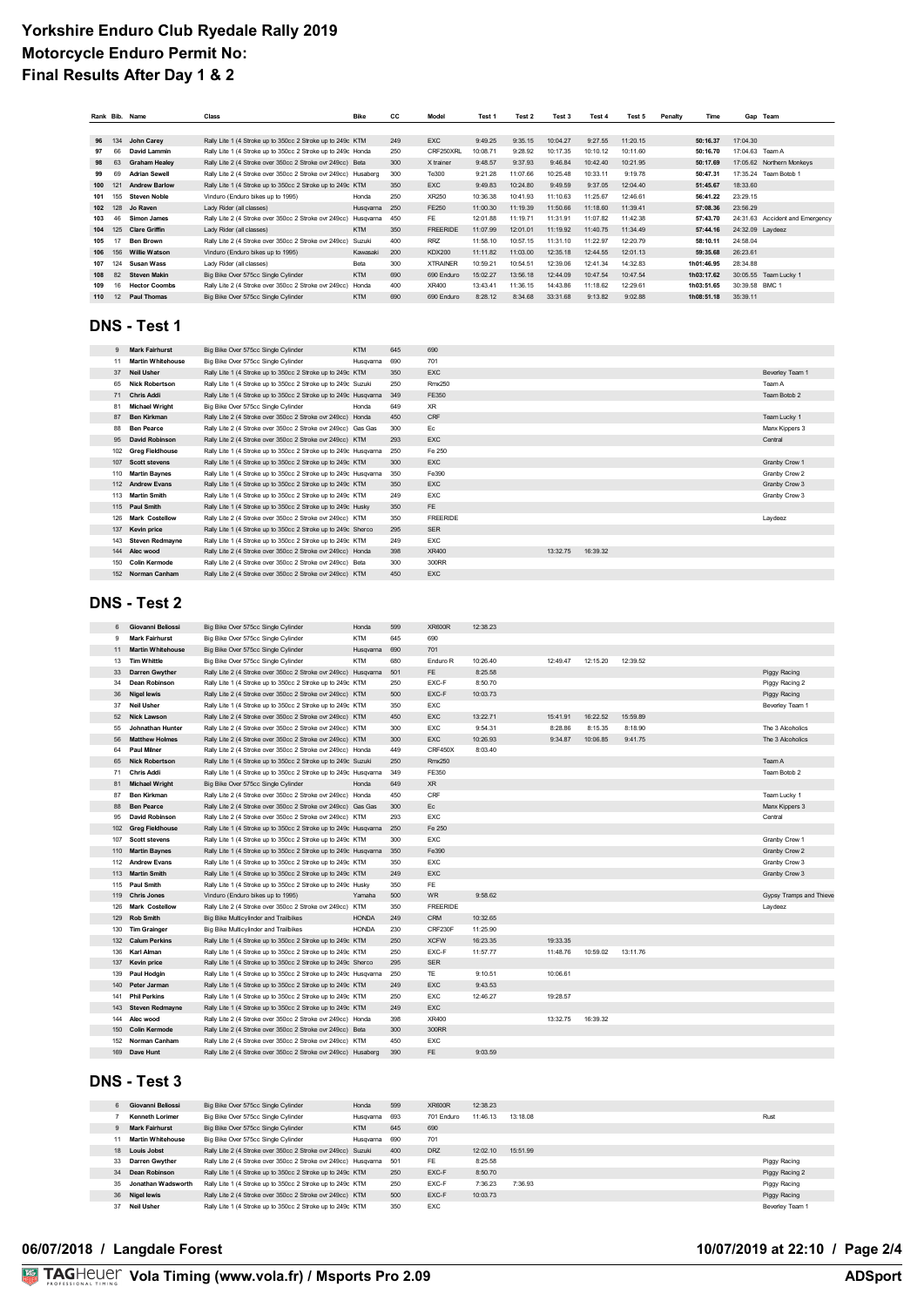| Rank Bib. |     | Name                 | Class                                                          | <b>Bike</b> | СC  | Model           | Test 1   | Test 2   | Test 3   | Test 4   | Test 5   | Penalty | Time       |                  | Gap Team                        |
|-----------|-----|----------------------|----------------------------------------------------------------|-------------|-----|-----------------|----------|----------|----------|----------|----------|---------|------------|------------------|---------------------------------|
|           |     |                      |                                                                |             |     |                 |          |          |          |          |          |         |            |                  |                                 |
| 96        | 134 | John Carey           | Rally Lite 1 (4 Stroke up to 350cc 2 Stroke up to 249c KTM     |             | 249 | <b>EXC</b>      | 9:49.25  | 9:35.15  | 10:04.27 | 9:27.55  | 11:20.15 |         | 50:16.37   | 17:04.30         |                                 |
| 97        | 66  | David Lammin         | Rally Lite 1 (4 Stroke up to 350cc 2 Stroke up to 249c Honda   |             | 250 | CRF250XRL       | 10:08.71 | 9:28.92  | 10:17.35 | 10:10.12 | 10:11.60 |         | 50:16.70   | 17:04.63 Team A  |                                 |
| 98        | 63  | <b>Graham Healey</b> | Rally Lite 2 (4 Stroke over 350cc 2 Stroke ovr 249cc) Beta     |             | 300 | X trainer       | 9:48.57  | 9:37.93  | 9:46.84  | 10:42.40 | 10:21.95 |         | 50:17.69   |                  | 17:05.62 Northern Monkeys       |
| 99        | 69  | <b>Adrian Sewell</b> | Rally Lite 2 (4 Stroke over 350cc 2 Stroke ovr 249cc) Husaberg |             | 300 | Te300           | 9:21.28  | 11:07.66 | 10:25.48 | 10:33.11 | 9:19.78  |         | 50:47.31   |                  | 17:35.24 Team Botob 1           |
| 100       | 121 | <b>Andrew Barlow</b> | Rally Lite 1 (4 Stroke up to 350cc 2 Stroke up to 249c KTM     |             | 350 | <b>EXC</b>      | 9:49.83  | 10:24.80 | 9:49.59  | 9:37.05  | 12:04.40 |         | 51:45.67   | 18:33.60         |                                 |
| 101       | 155 | <b>Steven Noble</b>  | Vinduro (Enduro bikes up to 1995)                              | Honda       | 250 | XR250           | 10:36.38 | 10:41.93 | 11:10.63 | 11:25.67 | 12:46.61 |         | 56:41.22   | 23:29.15         |                                 |
| 102       | 128 | Jo Raven             | Lady Rider (all classes)                                       | Husqvama    | 250 | FE250           | 11:00.30 | 11:19.39 | 11:50.66 | 11:18.60 | 11:39.41 |         | 57:08.36   | 23:56.29         |                                 |
| 103       | 46  | <b>Simon James</b>   | Rally Lite 2 (4 Stroke over 350cc 2 Stroke ovr 249cc)          | Husgyama    | 450 | FE              | 12:01.88 | 11:19.71 | 11:31.91 | 11:07.82 | 11:42.38 |         | 57:43.70   |                  | 24:31.63 Accident and Emergency |
| 104       | 125 | <b>Clare Griffin</b> | Lady Rider (all classes)                                       | <b>KTM</b>  | 350 | <b>FREERIDE</b> | 11:07.99 | 12:01.01 | 11:19.92 | 11:40.75 | 11:34.49 |         | 57:44.16   | 24:32.09 Laydeez |                                 |
| 105       |     | <b>Ben Brown</b>     | Rally Lite 2 (4 Stroke over 350cc 2 Stroke ovr 249cc)          | Suzuki      | 400 | RR7             | 11:58.10 | 10:57.15 | 11:31.10 | 11:22.97 | 12:20.79 |         | 58:10.11   | 24:58.04         |                                 |
| 106       | 156 | <b>Willie Watson</b> | Vinduro (Enduro bikes up to 1995)                              | Kawasaki    | 200 | <b>KDX200</b>   | 11:11.82 | 11:03.00 | 12:35.18 | 12:44.55 | 12:01.13 |         | 59:35.68   | 26:23.61         |                                 |
| 107       | 124 | Susan Wass           | Lady Rider (all classes)                                       | Beta        | 300 | <b>XTRAINER</b> | 10:59.21 | 10:54.51 | 12:39.06 | 12:41.34 | 14:32.83 |         | 1h01:46.95 | 28:34.88         |                                 |
| 108       | 82  | <b>Steven Makin</b>  | Big Bike Over 575cc Single Cylinder                            | <b>KTM</b>  | 690 | 690 Enduro      | 15:02.27 | 13:56.18 | 12:44.09 | 10:47.54 | 10:47.54 |         | 1h03:17.62 |                  | 30:05.55 Team Lucky 1           |
| 109       | 16  | <b>Hector Coombs</b> | Rally Lite 2 (4 Stroke over 350cc 2 Stroke ovr 249cc)          | Honda       | 400 | XR400           | 13:43.41 | 11:36.15 | 14:43.86 | 11:18.62 | 12:29.61 |         | 1h03:51.65 | 30:39.58 BMC 1   |                                 |
| 110       | 12  | <b>Paul Thomas</b>   | Big Bike Over 575cc Single Cylinder                            | <b>KTM</b>  | 690 | 690 Enduro      | 8:28.12  | 8:34.68  | 33:31.68 | 9:13.82  | 9:02.88  |         | 1h08:51.18 | 35:39.11         |                                 |

#### **DNS - Test 1**

| $\mathbf{Q}$ | <b>Mark Fairhurst</b>    | Big Bike Over 575cc Single Cylinder                              | <b>KTM</b> | 645 | 690             |          |          |                 |
|--------------|--------------------------|------------------------------------------------------------------|------------|-----|-----------------|----------|----------|-----------------|
| 11           | <b>Martin Whitehouse</b> | Big Bike Over 575cc Single Cylinder                              | Husqvama   | 690 | 701             |          |          |                 |
| 37           | <b>Neil Usher</b>        | Rally Lite 1 (4 Stroke up to 350cc 2 Stroke up to 249c KTM       |            | 350 | <b>EXC</b>      |          |          | Beverley Team 1 |
| 65           | <b>Nick Robertson</b>    | Rally Lite 1 (4 Stroke up to 350cc 2 Stroke up to 249c Suzuki    |            | 250 | Rmx250          |          |          | Team A          |
| 71           | <b>Chris Addi</b>        | Rally Lite 1 (4 Stroke up to 350cc 2 Stroke up to 249c Husqvarna |            | 349 | FE350           |          |          | Team Botob 2    |
| 81           | <b>Michael Wright</b>    | Big Bike Over 575cc Single Cylinder                              | Honda      | 649 | <b>XR</b>       |          |          |                 |
| 87           | <b>Ben Kirkman</b>       | Rally Lite 2 (4 Stroke over 350cc 2 Stroke ovr 249cc) Honda      |            | 450 | CRF             |          |          | Team Lucky 1    |
| 88           | <b>Ben Pearce</b>        | Rally Lite 2 (4 Stroke over 350cc 2 Stroke ovr 249cc) Gas Gas    |            | 300 | Ec              |          |          | Manx Kippers 3  |
| 95           | <b>David Robinson</b>    | Rally Lite 2 (4 Stroke over 350cc 2 Stroke ovr 249cc) KTM        |            | 293 | <b>EXC</b>      |          |          | Central         |
| 102          | <b>Greg Fieldhouse</b>   | Rally Lite 1 (4 Stroke up to 350cc 2 Stroke up to 249c Husqvama  |            | 250 | Fe 250          |          |          |                 |
|              | 107 Scott stevens        | Rally Lite 1 (4 Stroke up to 350cc 2 Stroke up to 249c KTM       |            | 300 | <b>EXC</b>      |          |          | Granby Crew 1   |
|              | 110 Martin Baynes        | Rally Lite 1 (4 Stroke up to 350cc 2 Stroke up to 249c Husqvama  |            | 350 | Fe390           |          |          | Granby Crew 2   |
|              | 112 Andrew Evans         | Rally Lite 1 (4 Stroke up to 350cc 2 Stroke up to 249c KTM       |            | 350 | <b>EXC</b>      |          |          | Granby Crew 3   |
|              | 113 Martin Smith         | Rally Lite 1 (4 Stroke up to 350cc 2 Stroke up to 249c KTM       |            | 249 | <b>EXC</b>      |          |          | Granby Crew 3   |
|              | 115 Paul Smith           | Rally Lite 1 (4 Stroke up to 350cc 2 Stroke up to 249c Husky     |            | 350 | <b>FE</b>       |          |          |                 |
| 126          | <b>Mark Costellow</b>    | Rally Lite 2 (4 Stroke over 350cc 2 Stroke ovr 249cc) KTM        |            | 350 | <b>FREERIDE</b> |          |          | Laydeez         |
| 137          | <b>Kevin price</b>       | Rally Lite 1 (4 Stroke up to 350cc 2 Stroke up to 249c Sherco    |            | 295 | <b>SER</b>      |          |          |                 |
| 143          | <b>Steven Redmayne</b>   | Rally Lite 1 (4 Stroke up to 350cc 2 Stroke up to 249c KTM       |            | 249 | <b>EXC</b>      |          |          |                 |
|              | 144 Alec wood            | Rally Lite 2 (4 Stroke over 350cc 2 Stroke ovr 249cc) Honda      |            | 398 | XR400           | 13:32.75 | 16:39.32 |                 |
| 150          | <b>Colin Kermode</b>     | Rally Lite 2 (4 Stroke over 350cc 2 Stroke ovr 249cc) Beta       |            | 300 | 300RR           |          |          |                 |
|              | 152 Norman Canham        | Rally Lite 2 (4 Stroke over 350cc 2 Stroke ovr 249cc) KTM        |            | 450 | <b>EXC</b>      |          |          |                 |

## **DNS - Test 2**

| 6   | Giovanni Beliossi        | Big Bike Over 575cc Single Cylinder                             | Honda        | 599 | <b>XR600R</b>   | 12:38.23 |          |          |          |                         |
|-----|--------------------------|-----------------------------------------------------------------|--------------|-----|-----------------|----------|----------|----------|----------|-------------------------|
| 9   | <b>Mark Fairhurst</b>    | Big Bike Over 575cc Single Cylinder                             | <b>KTM</b>   | 645 | 690             |          |          |          |          |                         |
| 11  | <b>Martin Whitehouse</b> | Big Bike Over 575cc Single Cylinder                             | Husqvama     | 690 | 701             |          |          |          |          |                         |
| 13  | <b>Tim Whittle</b>       | Big Bike Over 575cc Single Cylinder                             | <b>KTM</b>   | 680 | Enduro R        | 10:26.40 | 12:49.47 | 12:15.20 | 12:39.52 |                         |
| 33  | <b>Darren Gwyther</b>    | Rally Lite 2 (4 Stroke over 350cc 2 Stroke ovr 249cc) Husqvarna |              | 501 | FE              | 8:25.58  |          |          |          | Piggy Racing            |
| 34  | Dean Robinson            | Rally Lite 1 (4 Stroke up to 350cc 2 Stroke up to 249c KTM      |              | 250 | EXC-F           | 8:50.70  |          |          |          | Piggy Racing 2          |
| 36  | <b>Nigel lewis</b>       | Rally Lite 2 (4 Stroke over 350cc 2 Stroke ovr 249cc) KTM       |              | 500 | EXC-F           | 10:03.73 |          |          |          | Piggy Racing            |
| 37  | <b>Neil Usher</b>        | Rally Lite 1 (4 Stroke up to 350cc 2 Stroke up to 249c KTM      |              | 350 | EXC             |          |          |          |          | Beverley Team 1         |
| 52  | <b>Nick Lawson</b>       | Rally Lite 2 (4 Stroke over 350cc 2 Stroke ovr 249cc) KTM       |              | 450 | EXC             | 13:22.71 | 15:41.91 | 16:22.52 | 15:59.89 |                         |
| 55  | Johnathan Hunter         | Rally Lite 2 (4 Stroke over 350cc 2 Stroke ovr 249cc) KTM       |              | 300 | EXC             | 9:54.31  | 8:28.86  | 8:15.35  | 8:18.90  | The 3 Alcoholics        |
| 56  | <b>Matthew Holmes</b>    | Rally Lite 2 (4 Stroke over 350cc 2 Stroke ovr 249cc) KTM       |              | 300 | <b>EXC</b>      | 10:26.93 | 9:34.87  | 10:06.85 | 9:41.75  | The 3 Alcoholics        |
| 64  | <b>Paul Milner</b>       | Rally Lite 2 (4 Stroke over 350cc 2 Stroke ovr 249cc) Honda     |              | 449 | CRF450X         | 8:03.40  |          |          |          |                         |
| 65  | <b>Nick Robertson</b>    | Rally Lite 1 (4 Stroke up to 350cc 2 Stroke up to 249c Suzuki   |              | 250 | <b>Rmx250</b>   |          |          |          |          | Team A                  |
| 71  | <b>Chris Addi</b>        | Rally Lite 1 (4 Stroke up to 350cc 2 Stroke up to 249c Husqvama |              | 349 | FE350           |          |          |          |          | Team Botob 2            |
| 81  | <b>Michael Wright</b>    | Big Bike Over 575cc Single Cylinder                             | Honda        | 649 | XR              |          |          |          |          |                         |
| 87  | <b>Ben Kirkman</b>       | Rally Lite 2 (4 Stroke over 350cc 2 Stroke ovr 249cc) Honda     |              | 450 | CRF             |          |          |          |          | Team Lucky 1            |
| 88  | <b>Ben Pearce</b>        | Rally Lite 2 (4 Stroke over 350cc 2 Stroke ovr 249cc) Gas Gas   |              | 300 | Ec              |          |          |          |          | Manx Kippers 3          |
| 95  | <b>David Robinson</b>    | Rally Lite 2 (4 Stroke over 350cc 2 Stroke ovr 249cc) KTM       |              | 293 | <b>EXC</b>      |          |          |          |          | Central                 |
|     | 102 Greg Fieldhouse      | Rally Lite 1 (4 Stroke up to 350cc 2 Stroke up to 249c Husqvama |              | 250 | Fe 250          |          |          |          |          |                         |
| 107 | <b>Scott stevens</b>     | Rally Lite 1 (4 Stroke up to 350cc 2 Stroke up to 249c KTM      |              | 300 | EXC             |          |          |          |          | Granby Crew 1           |
|     | 110 Martin Baynes        | Rally Lite 1 (4 Stroke up to 350cc 2 Stroke up to 249c Husqvama |              | 350 | Fe390           |          |          |          |          | Granby Crew 2           |
|     | 112 Andrew Evans         | Rally Lite 1 (4 Stroke up to 350cc 2 Stroke up to 249c KTM      |              | 350 | EXC             |          |          |          |          | Granby Crew 3           |
|     | 113 Martin Smith         | Rally Lite 1 (4 Stroke up to 350cc 2 Stroke up to 249c KTM      |              | 249 | EXC             |          |          |          |          | Granby Crew 3           |
|     | 115 Paul Smith           | Rally Lite 1 (4 Stroke up to 350cc 2 Stroke up to 249c Husky    |              | 350 | FE              |          |          |          |          |                         |
|     | 119 Chris Jones          | Vinduro (Enduro bikes up to 1995)                               | Yamaha       | 500 | <b>WR</b>       | 9:58.62  |          |          |          | Gypsy Tramps and Thieve |
| 126 | <b>Mark Costellow</b>    | Rally Lite 2 (4 Stroke over 350cc 2 Stroke ovr 249cc) KTM       |              | 350 | <b>FREERIDE</b> |          |          |          |          | Laydeez                 |
|     | 129 Rob Smith            | Big Bike Multicylinder and Trailbikes                           | <b>HONDA</b> | 249 | <b>CRM</b>      | 10:32.65 |          |          |          |                         |
|     | 130 Tim Grainger         | Big Bike Multicylinder and Trailbikes                           | <b>HONDA</b> | 230 | CRF230F         | 11:25.90 |          |          |          |                         |
|     | 132 Calum Perkins        | Rally Lite 1 (4 Stroke up to 350cc 2 Stroke up to 249c KTM      |              | 250 | <b>XCFW</b>     | 16:23.35 | 19:33.35 |          |          |                         |
| 136 | Karl Alman               | Rally Lite 1 (4 Stroke up to 350cc 2 Stroke up to 249c KTM      |              | 250 | EXC-F           | 11:57.77 | 11:48.76 | 10:59.02 | 13:11.76 |                         |
|     | 137 Kevin price          | Rally Lite 1 (4 Stroke up to 350cc 2 Stroke up to 249c Sherco   |              | 295 | <b>SER</b>      |          |          |          |          |                         |
| 139 | Paul Hodgin              | Rally Lite 1 (4 Stroke up to 350cc 2 Stroke up to 249c Husqvama |              | 250 | <b>TE</b>       | 9:10.51  | 10:06.61 |          |          |                         |
|     | 140 Peter Jarman         | Rally Lite 1 (4 Stroke up to 350cc 2 Stroke up to 249c KTM      |              | 249 | EXC             | 9:43.53  |          |          |          |                         |
|     | 141 Phil Perkins         | Rally Lite 1 (4 Stroke up to 350cc 2 Stroke up to 249c KTM      |              | 250 | EXC             | 12:46.27 | 19:28.57 |          |          |                         |
| 143 | <b>Steven Redmayne</b>   | Rally Lite 1 (4 Stroke up to 350cc 2 Stroke up to 249c KTM      |              | 249 | <b>EXC</b>      |          |          |          |          |                         |
| 144 | Alec wood                | Rally Lite 2 (4 Stroke over 350cc 2 Stroke ovr 249cc) Honda     |              | 398 | XR400           |          | 13:32.75 | 16:39.32 |          |                         |
| 150 | <b>Colin Kermode</b>     | Rally Lite 2 (4 Stroke over 350cc 2 Stroke ovr 249cc) Beta      |              | 300 | 300RR           |          |          |          |          |                         |
|     | 152 Norman Canham        | Rally Lite 2 (4 Stroke over 350cc 2 Stroke ovr 249cc) KTM       |              | 450 | EXC             |          |          |          |          |                         |
|     | 169 Dave Hunt            | Rally Lite 2 (4 Stroke over 350cc 2 Stroke ovr 249cc) Husaberg  |              | 390 | FE.             | 9:03.59  |          |          |          |                         |
|     |                          |                                                                 |              |     |                 |          |          |          |          |                         |

# **DNS - Test 3**

| 6            | Giovanni Beliossi        | Big Bike Over 575cc Single Cylinder                                | Honda      | 599 | <b>XR600R</b> | 12:38.23 |          |                 |
|--------------|--------------------------|--------------------------------------------------------------------|------------|-----|---------------|----------|----------|-----------------|
|              | <b>Kenneth Lorimer</b>   | Big Bike Over 575cc Single Cylinder                                | Husgyama   | 693 | 701 Fnduro    | 11:46.13 | 13:18.08 | Rust            |
| $\mathbf{Q}$ | <b>Mark Fairhurst</b>    | Big Bike Over 575cc Single Cylinder                                | <b>KTM</b> | 645 | 690           |          |          |                 |
| 11           | <b>Martin Whitehouse</b> | Big Bike Over 575cc Single Cylinder                                | Husovama   | 690 | 701           |          |          |                 |
| 18           | <b>Louis Jobst</b>       | Rally Lite 2 (4 Stroke over 350cc 2 Stroke ovr 249cc) Suzuki       |            | 400 | <b>DRZ</b>    | 12:02.10 | 15:51.99 |                 |
|              | 33 Darren Gwyther        | Rally Lite 2 (4 Stroke over 350cc 2 Stroke ovr 249cc) Husayama 501 |            |     | <b>FE</b>     | 8:25.58  |          | Piggy Racing    |
| 34           | Dean Robinson            | Rally Lite 1 (4 Stroke up to 350cc 2 Stroke up to 249c KTM         |            | 250 | EXC-F         | 8:50.70  |          | Piggy Racing 2  |
| 35           | Jonathan Wadsworth       | Rally Lite 1 (4 Stroke up to 350cc 2 Stroke up to 249c KTM         |            | 250 | EXC-F         | 7:36.23  | 7.36.93  | Piggy Racing    |
|              | 36 Nigel lewis           | Rally Lite 2 (4 Stroke over 350cc 2 Stroke ovr 249cc) KTM          |            | 500 | EXC-F         | 10:03.73 |          | Piggy Racing    |
| 37           | <b>Neil Usher</b>        | Rally Lite 1 (4 Stroke up to 350cc 2 Stroke up to 249c KTM         |            | 350 | EXC           |          |          | Beverley Team 1 |

### **06/07/2018 / Langdale Forest 10/07/2019 at 22:10 / Page 2/4**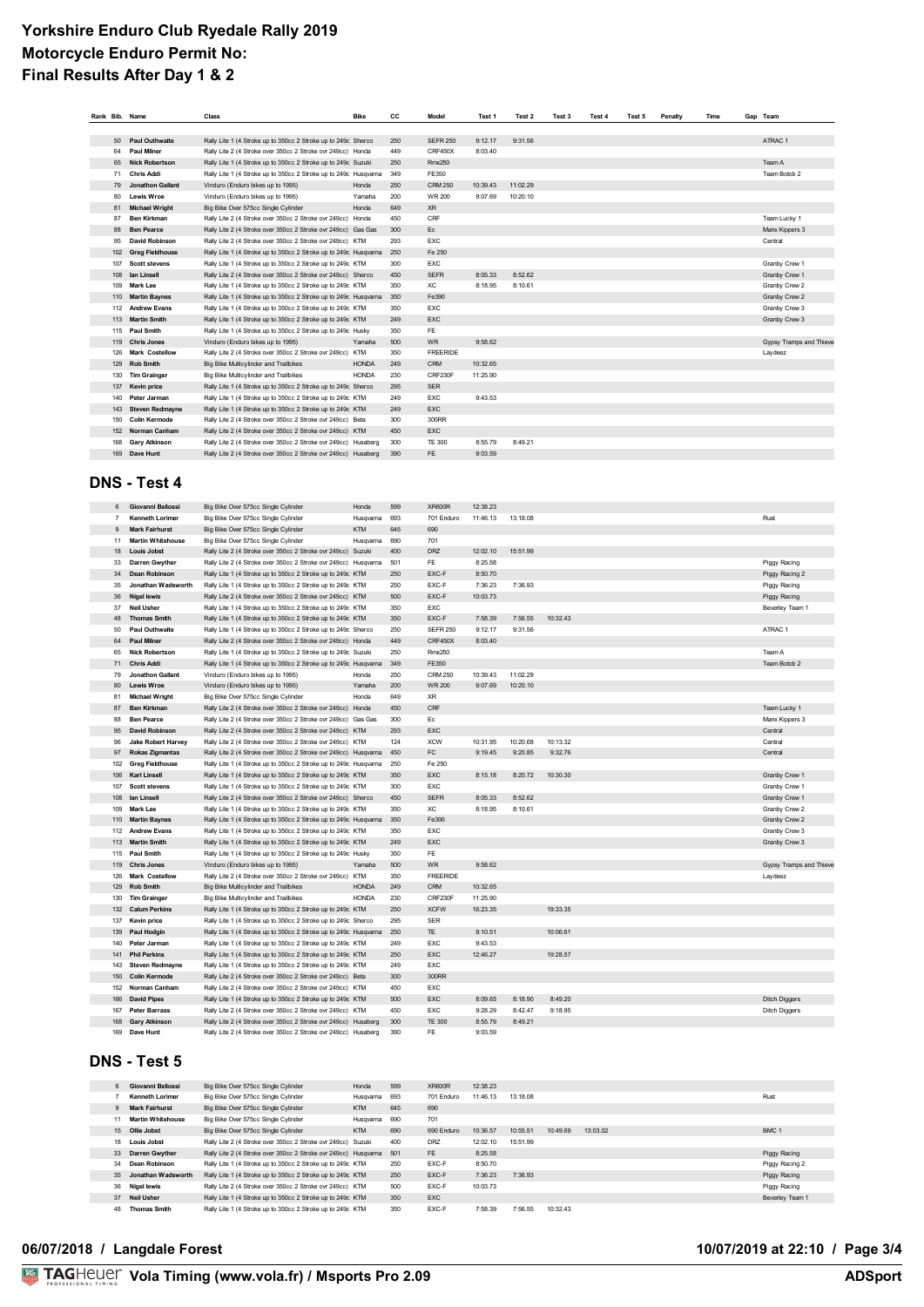|     | Rank Bib. Name          | Class                                                            | <b>Bike</b>  | СC  | Model           | Test 1   | Test 2   | Test 3 | Test 4 | Test 5 | Penalty | Time | Gap Team                |
|-----|-------------------------|------------------------------------------------------------------|--------------|-----|-----------------|----------|----------|--------|--------|--------|---------|------|-------------------------|
|     |                         |                                                                  |              |     |                 |          |          |        |        |        |         |      |                         |
| 50  | Paul Outhwaite          | Rally Lite 1 (4 Stroke up to 350cc 2 Stroke up to 249c Sherco    |              | 250 | <b>SEFR 250</b> | 9:12.17  | 9:31.56  |        |        |        |         |      | ATRAC 1                 |
| 64  | <b>Paul Milner</b>      | Rally Lite 2 (4 Stroke over 350cc 2 Stroke ovr 249cc) Honda      |              | 449 | CRF450X         | 8:03.40  |          |        |        |        |         |      |                         |
| 65  | <b>Nick Robertson</b>   | Rally Lite 1 (4 Stroke up to 350cc 2 Stroke up to 249c Suzuki    |              | 250 | <b>Rmx250</b>   |          |          |        |        |        |         |      | Team A                  |
| 71  | <b>Chris Addi</b>       | Rally Lite 1 (4 Stroke up to 350cc 2 Stroke up to 249c Husqvama  |              | 349 | FE350           |          |          |        |        |        |         |      | Team Botob 2            |
| 79  | <b>Jonathon Gallant</b> | Vinduro (Enduro bikes up to 1995)                                | Honda        | 250 | <b>CRM 250</b>  | 10:39.43 | 11:02.29 |        |        |        |         |      |                         |
| 80  | <b>Lewis Wroe</b>       | Vinduro (Enduro bikes up to 1995)                                | Yamaha       | 200 | <b>WR 200</b>   | 9:07.69  | 10:20.10 |        |        |        |         |      |                         |
| 81  | <b>Michael Wright</b>   | Big Bike Over 575cc Single Cylinder                              | Honda        | 649 | <b>XR</b>       |          |          |        |        |        |         |      |                         |
| 87  | <b>Ben Kirkman</b>      | Rally Lite 2 (4 Stroke over 350cc 2 Stroke ovr 249cc) Honda      |              | 450 | CRF             |          |          |        |        |        |         |      | Team Lucky 1            |
| 88  | <b>Ben Pearce</b>       | Rally Lite 2 (4 Stroke over 350cc 2 Stroke ovr 249cc) Gas Gas    |              | 300 | Ec              |          |          |        |        |        |         |      | Manx Kippers 3          |
| 95  | <b>David Robinson</b>   | Rally Lite 2 (4 Stroke over 350cc 2 Stroke ovr 249cc) KTM        |              | 293 | <b>EXC</b>      |          |          |        |        |        |         |      | Central                 |
|     | 102 Greg Fieldhouse     | Rally Lite 1 (4 Stroke up to 350cc 2 Stroke up to 249c Husqvama  |              | 250 | Fe 250          |          |          |        |        |        |         |      |                         |
|     | 107 Scott stevens       | Rally Lite 1 (4 Stroke up to 350cc 2 Stroke up to 249c KTM       |              | 300 | EXC             |          |          |        |        |        |         |      | Granby Crew 1           |
| 108 | lan Linsell             | Rally Lite 2 (4 Stroke over 350cc 2 Stroke ovr 249cc) Sherco     |              | 450 | <b>SEFR</b>     | 8:05.33  | 8:52.62  |        |        |        |         |      | Granby Crew 1           |
|     | 109 Mark Lee            | Rally Lite 1 (4 Stroke up to 350cc 2 Stroke up to 249c KTM       |              | 350 | XC.             | 8:18.95  | 8:10.61  |        |        |        |         |      | Granby Crew 2           |
|     | 110 Martin Baynes       | Rally Lite 1 (4 Stroke up to 350cc 2 Stroke up to 249c Husqvarna |              | 350 | Fe390           |          |          |        |        |        |         |      | Granby Crew 2           |
|     | 112 Andrew Evans        | Rally Lite 1 (4 Stroke up to 350cc 2 Stroke up to 249c KTM       |              | 350 | <b>EXC</b>      |          |          |        |        |        |         |      | Granby Crew 3           |
|     | 113 Martin Smith        | Rally Lite 1 (4 Stroke up to 350cc 2 Stroke up to 249c KTM       |              | 249 | EXC             |          |          |        |        |        |         |      | Granby Crew 3           |
|     | 115 Paul Smith          | Rally Lite 1 (4 Stroke up to 350cc 2 Stroke up to 249c Husky     |              | 350 | <b>FE</b>       |          |          |        |        |        |         |      |                         |
|     | 119 Chris Jones         | Vinduro (Enduro bikes up to 1995)                                | Yamaha       | 500 | <b>WR</b>       | 9:58.62  |          |        |        |        |         |      | Gypsy Tramps and Thieve |
| 126 | <b>Mark Costellow</b>   | Rally Lite 2 (4 Stroke over 350cc 2 Stroke ovr 249cc) KTM        |              | 350 | <b>FREERIDE</b> |          |          |        |        |        |         |      | Laydeez                 |
|     | 129 Rob Smith           | Big Bike Multicylinder and Trailbikes                            | <b>HONDA</b> | 249 | CRM             | 10:32.65 |          |        |        |        |         |      |                         |
|     | 130 Tim Grainger        | Big Bike Multicylinder and Trailbikes                            | <b>HONDA</b> | 230 | CRF230F         | 11:25.90 |          |        |        |        |         |      |                         |
| 137 | <b>Kevin price</b>      | Rally Lite 1 (4 Stroke up to 350cc 2 Stroke up to 249c Sherco    |              | 295 | <b>SER</b>      |          |          |        |        |        |         |      |                         |
| 140 | Peter Jarman            | Rally Lite 1 (4 Stroke up to 350cc 2 Stroke up to 249c KTM       |              | 249 | <b>EXC</b>      | 9:43.53  |          |        |        |        |         |      |                         |
|     | 143 Steven Redmayne     | Rally Lite 1 (4 Stroke up to 350cc 2 Stroke up to 249c KTM       |              | 249 | <b>EXC</b>      |          |          |        |        |        |         |      |                         |
| 150 | <b>Colin Kermode</b>    | Rally Lite 2 (4 Stroke over 350cc 2 Stroke ovr 249cc) Beta       |              | 300 | 300RR           |          |          |        |        |        |         |      |                         |
|     | 152 Norman Canham       | Rally Lite 2 (4 Stroke over 350cc 2 Stroke ovr 249cc) KTM        |              | 450 | <b>EXC</b>      |          |          |        |        |        |         |      |                         |
|     | 168 Gary Atkinson       | Rally Lite 2 (4 Stroke over 350cc 2 Stroke ovr 249cc) Husaberg   |              | 300 | <b>TE 300</b>   | 8:55.79  | 8:49.21  |        |        |        |         |      |                         |
|     | 169 Dave Hunt           | Rally Lite 2 (4 Stroke over 350cc 2 Stroke ovr 249cc) Husaberg   |              | 390 | FE.             | 9:03.59  |          |        |        |        |         |      |                         |
|     |                         |                                                                  |              |     |                 |          |          |        |        |        |         |      |                         |

#### **DNS - Test 4**

| 6              | Giovanni Beliossi         | Big Bike Over 575cc Single Cylinder                              | Honda        | 599 | <b>XR600R</b>   | 12:38.23 |          |          |  |                         |
|----------------|---------------------------|------------------------------------------------------------------|--------------|-----|-----------------|----------|----------|----------|--|-------------------------|
| $\overline{7}$ | <b>Kenneth Lorimer</b>    | Big Bike Over 575cc Single Cylinder                              | Husqvama     | 693 | 701 Enduro      | 11:46.13 | 13:18.08 |          |  | Rust                    |
| 9              | <b>Mark Fairhurst</b>     | Big Bike Over 575cc Single Cylinder                              | <b>KTM</b>   | 645 | 690             |          |          |          |  |                         |
| 11             | <b>Martin Whitehouse</b>  | Big Bike Over 575cc Single Cylinder                              | Husqvama     | 690 | 701             |          |          |          |  |                         |
| 18             | <b>Louis Jobst</b>        | Rally Lite 2 (4 Stroke over 350cc 2 Stroke ovr 249cc) Suzuki     |              | 400 | <b>DRZ</b>      | 12:02.10 | 15:51.99 |          |  |                         |
| 33             | Darren Gwyther            | Rally Lite 2 (4 Stroke over 350cc 2 Stroke ovr 249cc) Husqvama   |              | 501 | FE              | 8:25.58  |          |          |  | Piggy Racing            |
| 34             | <b>Dean Robinson</b>      | Rally Lite 1 (4 Stroke up to 350cc 2 Stroke up to 249c KTM       |              | 250 | EXC-F           | 8:50.70  |          |          |  | Piggy Racing 2          |
| 35             | Jonathan Wadsworth        | Rally Lite 1 (4 Stroke up to 350cc 2 Stroke up to 249c KTM       |              | 250 | EXC-F           | 7:36.23  | 7:36.93  |          |  | Piggy Racing            |
| 36             | <b>Nigel lewis</b>        | Rally Lite 2 (4 Stroke over 350cc 2 Stroke ovr 249cc) KTM        |              | 500 | EXC-F           | 10:03.73 |          |          |  | Piggy Racing            |
| 37             | <b>Neil Usher</b>         | Rally Lite 1 (4 Stroke up to 350cc 2 Stroke up to 249c KTM       |              | 350 | EXC             |          |          |          |  | Beverley Team 1         |
| 48             | <b>Thomas Smith</b>       | Rally Lite 1 (4 Stroke up to 350cc 2 Stroke up to 249c KTM       |              | 350 | EXC-F           | 7:58.39  | 7:56.55  | 10:32.43 |  |                         |
| 50             | <b>Paul Outhwaite</b>     | Rally Lite 1 (4 Stroke up to 350cc 2 Stroke up to 249c Sherco    |              | 250 | <b>SEFR 250</b> | 9:12.17  | 9:31.56  |          |  | ATRAC 1                 |
| 64             | <b>Paul Milner</b>        | Rally Lite 2 (4 Stroke over 350cc 2 Stroke ovr 249cc) Honda      |              | 449 | CRF450X         | 8:03.40  |          |          |  |                         |
| 65             | <b>Nick Robertson</b>     | Rally Lite 1 (4 Stroke up to 350cc 2 Stroke up to 249c Suzuki    |              | 250 | Rmx250          |          |          |          |  | Team A                  |
| 71             | <b>Chris Addi</b>         | Rally Lite 1 (4 Stroke up to 350cc 2 Stroke up to 249c Husqvarna |              | 349 | FE350           |          |          |          |  | Team Botob 2            |
| 79             | Jonathon Gallant          | Vinduro (Enduro bikes up to 1995)                                | Honda        | 250 | <b>CRM 250</b>  | 10:39.43 | 11:02.29 |          |  |                         |
| 80             | <b>Lewis Wroe</b>         | Vinduro (Enduro bikes up to 1995)                                | Yamaha       | 200 | <b>WR 200</b>   | 9:07.69  | 10:20.10 |          |  |                         |
| 81             | <b>Michael Wright</b>     | Big Bike Over 575cc Single Cylinder                              | Honda        | 649 | <b>XR</b>       |          |          |          |  |                         |
| 87             | <b>Ben Kirkman</b>        | Rally Lite 2 (4 Stroke over 350cc 2 Stroke ovr 249cc) Honda      |              | 450 | CRF             |          |          |          |  | Team Lucky 1            |
| 88             | <b>Ben Pearce</b>         | Rally Lite 2 (4 Stroke over 350cc 2 Stroke ovr 249cc) Gas Gas    |              | 300 | Ec              |          |          |          |  | Manx Kippers 3          |
| 95             | <b>David Robinson</b>     | Rally Lite 2 (4 Stroke over 350cc 2 Stroke ovr 249cc) KTM        |              | 293 | <b>EXC</b>      |          |          |          |  | Central                 |
| 96             | <b>Jake Robert Harvey</b> | Rally Lite 2 (4 Stroke over 350cc 2 Stroke ovr 249cc) KTM        |              | 124 | <b>XCW</b>      | 10:31.95 | 10:20.68 | 10:13.32 |  | Central                 |
| 97             | Rokas Zigmantas           | Rally Lite 2 (4 Stroke over 350cc 2 Stroke ovr 249cc) Husqvarna  |              | 450 | FC              | 9:19.45  | 9:20.85  | 9:32.76  |  | Central                 |
| 102            | <b>Greg Fieldhouse</b>    | Rally Lite 1 (4 Stroke up to 350cc 2 Stroke up to 249c Husqvama  |              | 250 | Fe 250          |          |          |          |  |                         |
| 106            | <b>Karl Linsell</b>       | Rally Lite 1 (4 Stroke up to 350cc 2 Stroke up to 249c KTM       |              | 350 | <b>EXC</b>      | 8:15.18  | 8:20.72  | 10:30.30 |  | Granby Crew 1           |
|                | 107 Scott stevens         | Rally Lite 1 (4 Stroke up to 350cc 2 Stroke up to 249c KTM       |              | 300 | EXC             |          |          |          |  | Granby Crew 1           |
| 108            | lan Linsell               | Rally Lite 2 (4 Stroke over 350cc 2 Stroke ovr 249cc) Sherco     |              | 450 | <b>SEFR</b>     | 8:05.33  | 8:52.62  |          |  | Granby Crew 1           |
| 109            | Mark Lee                  | Rally Lite 1 (4 Stroke up to 350cc 2 Stroke up to 249c KTM       |              | 350 | ХC              | 8:18.95  | 8:10.61  |          |  | Granby Crew 2           |
|                | 110 Martin Baynes         | Rally Lite 1 (4 Stroke up to 350cc 2 Stroke up to 249c Husqvarna |              | 350 | Fe390           |          |          |          |  | Granby Crew 2           |
|                | 112 Andrew Evans          | Rally Lite 1 (4 Stroke up to 350cc 2 Stroke up to 249c KTM       |              | 350 | EXC             |          |          |          |  | Granby Crew 3           |
|                | 113 Martin Smith          | Rally Lite 1 (4 Stroke up to 350cc 2 Stroke up to 249c KTM       |              | 249 | EXC             |          |          |          |  | Granby Crew 3           |
|                | 115 Paul Smith            | Rally Lite 1 (4 Stroke up to 350cc 2 Stroke up to 249c Husky     |              | 350 | FE              |          |          |          |  |                         |
|                | 119 Chris Jones           | Vinduro (Enduro bikes up to 1995)                                | Yamaha       | 500 | WR.             | 9:58.62  |          |          |  | Gypsy Tramps and Thieve |
| 126            | <b>Mark Costellow</b>     | Rally Lite 2 (4 Stroke over 350cc 2 Stroke ovr 249cc) KTM        |              | 350 | <b>FREERIDE</b> |          |          |          |  | Laydeez                 |
|                | 129 Rob Smith             | Big Bike Multicylinder and Trailbikes                            | <b>HONDA</b> | 249 | <b>CRM</b>      | 10:32.65 |          |          |  |                         |
|                | 130 Tim Grainger          | Big Bike Multicylinder and Trailbikes                            | <b>HONDA</b> | 230 | CRF230F         | 11:25.90 |          |          |  |                         |
|                | 132 Calum Perkins         | Rally Lite 1 (4 Stroke up to 350cc 2 Stroke up to 249c KTM       |              | 250 | <b>XCFW</b>     | 16:23.35 |          | 19:33.35 |  |                         |
|                | 137 Kevin price           | Rally Lite 1 (4 Stroke up to 350cc 2 Stroke up to 249c Sherco    |              | 295 | <b>SER</b>      |          |          |          |  |                         |
| 139            | <b>Paul Hodgin</b>        | Rally Lite 1 (4 Stroke up to 350cc 2 Stroke up to 249c Husqvama  |              | 250 | TE              | 9:10.51  |          | 10:06.61 |  |                         |
| 140            | Peter Jarman              | Rally Lite 1 (4 Stroke up to 350cc 2 Stroke up to 249c KTM       |              | 249 | EXC             | 9:43.53  |          |          |  |                         |
| 141            | <b>Phil Perkins</b>       | Rally Lite 1 (4 Stroke up to 350cc 2 Stroke up to 249c KTM       |              | 250 | <b>EXC</b>      | 12:46.27 |          | 19:28.57 |  |                         |
| 143            | <b>Steven Redmayne</b>    | Rally Lite 1 (4 Stroke up to 350cc 2 Stroke up to 249c KTM       |              | 249 | EXC             |          |          |          |  |                         |
| 150            | <b>Colin Kermode</b>      | Rally Lite 2 (4 Stroke over 350cc 2 Stroke ovr 249cc) Beta       |              | 300 | 300RR           |          |          |          |  |                         |
|                | 152 Norman Canham         | Rally Lite 2 (4 Stroke over 350cc 2 Stroke ovr 249cc) KTM        |              | 450 | EXC             |          |          |          |  |                         |
|                | 166 David Pipes           | Rally Lite 1 (4 Stroke up to 350cc 2 Stroke up to 249c KTM       |              | 500 | <b>EXC</b>      | 8:09.65  | 8:18.90  | 8:49.20  |  | <b>Ditch Diggers</b>    |
| 167            | <b>Peter Barrass</b>      | Rally Lite 2 (4 Stroke over 350cc 2 Stroke ovr 249cc) KTM        |              | 450 | EXC             | 9:28.29  | 8:42.47  | 9:18.95  |  | <b>Ditch Diggers</b>    |
|                | 168 Gary Atkinson         | Rally Lite 2 (4 Stroke over 350cc 2 Stroke ovr 249cc) Husaberg   |              | 300 | <b>TE 300</b>   | 8:55.79  | 8:49.21  |          |  |                         |
|                | 169 Dave Hunt             | Rally Lite 2 (4 Stroke over 350cc 2 Stroke ovr 249cc) Husaberg   |              | 390 | FE.             | 9:03.59  |          |          |  |                         |

#### **DNS - Test 5**

| 6            | Giovanni Beliossi        | Big Bike Over 575cc Single Cylinder                                 | Honda      | 599 | XR600R          | 12:38.23 |          |          |          |                  |
|--------------|--------------------------|---------------------------------------------------------------------|------------|-----|-----------------|----------|----------|----------|----------|------------------|
|              | <b>Kenneth Lorimer</b>   | Big Bike Over 575cc Single Cylinder                                 | Husgyama   | 693 | 701 Enduro      | 11:46.13 | 13:18.08 |          |          | Rust             |
| $\mathbf{Q}$ | <b>Mark Fairhurst</b>    | Big Bike Over 575cc Single Cylinder                                 | <b>KTM</b> | 645 | 690             |          |          |          |          |                  |
| 11           | <b>Martin Whitehouse</b> | Big Bike Over 575cc Single Cylinder                                 | Husqvama   | 690 | 701             |          |          |          |          |                  |
| 15           | Ollie Jobst              | Big Bike Over 575cc Single Cylinder                                 | <b>KTM</b> | 690 | 690 Enduro      | 10:36.57 | 10:55.51 | 10:49.69 | 13:03.02 | BMC <sub>1</sub> |
| 18           | <b>Louis Jobst</b>       | Rally Lite 2 (4 Stroke over 350cc 2 Stroke ovr 249cc) Suzuki        |            | 400 | DR <sub>7</sub> | 12:02.10 | 15:51.99 |          |          |                  |
|              | 33 Darren Gwyther        | Rally Lite 2 (4 Stroke over 350cc 2 Stroke ovr 249cc) Husqvarna 501 |            |     | FE.             | 8:25.58  |          |          |          | Piggy Racing     |
| 34           | Dean Robinson            | Rally Lite 1 (4 Stroke up to 350cc 2 Stroke up to 249c KTM          |            | 250 | EXC-F           | 8:50.70  |          |          |          | Piggy Racing 2   |
| 35           | Jonathan Wadsworth       | Rally Lite 1 (4 Stroke up to 350cc 2 Stroke up to 249c KTM          |            | 250 | EXC-F           | 7:36.23  | 7:36.93  |          |          | Piggy Racing     |
| 36           | <b>Nigel lewis</b>       | Rally Lite 2 (4 Stroke over 350cc 2 Stroke ovr 249cc) KTM           |            | 500 | EXC-F           | 10:03.73 |          |          |          | Piggy Racing     |
|              | 37 Neil Usher            | Rally Lite 1 (4 Stroke up to 350cc 2 Stroke up to 249c KTM          |            | 350 | <b>EXC</b>      |          |          |          |          | Beverley Team 1  |
| 48           | <b>Thomas Smith</b>      | Rally Lite 1 (4 Stroke up to 350cc 2 Stroke up to 249c KTM          |            | 350 | EXC-F           | 7:58.39  | 7:56.55  | 10:32.43 |          |                  |

#### **06/07/2018 / Langdale Forest 10/07/2019 at 22:10 / Page 3/4**